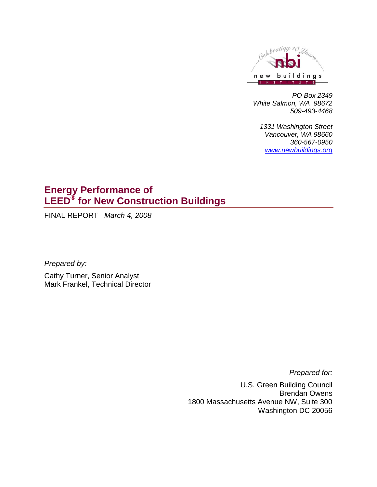

*PO Box 2349 White Salmon, WA 98672 509-493-4468*

*1331 Washington Street Vancouver, WA 98660 360-567-0950 [www.newbuildings.org](http://www.newbuildings.org/)*

### **Energy Performance of LEED® for New Construction Buildings**

FINAL REPORT *March 4, 2008*

*Prepared by:*

Cathy Turner, Senior Analyst Mark Frankel, Technical Director

*Prepared for:*

U.S. Green Building Council Brendan Owens 1800 Massachusetts Avenue NW, Suite 300 Washington DC 20056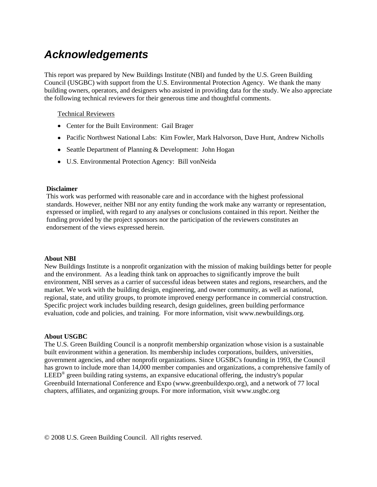# *Acknowledgements*

This report was prepared by New Buildings Institute (NBI) and funded by the U.S. Green Building Council (USGBC) with support from the U.S. Environmental Protection Agency. We thank the many building owners, operators, and designers who assisted in providing data for the study. We also appreciate the following technical reviewers for their generous time and thoughtful comments.

#### Technical Reviewers

- Center for the Built Environment: Gail Brager
- Pacific Northwest National Labs: Kim Fowler, Mark Halvorson, Dave Hunt, Andrew Nicholls
- Seattle Department of Planning & Development: John Hogan
- U.S. Environmental Protection Agency: Bill vonNeida

#### **Disclaimer**

This work was performed with reasonable care and in accordance with the highest professional standards. However, neither NBI nor any entity funding the work make any warranty or representation, expressed or implied, with regard to any analyses or conclusions contained in this report. Neither the funding provided by the project sponsors nor the participation of the reviewers constitutes an endorsement of the views expressed herein.

#### **About NBI**

New Buildings Institute is a nonprofit organization with the mission of making buildings better for people and the environment. As a leading think tank on approaches to significantly improve the built environment, NBI serves as a carrier of successful ideas between states and regions, researchers, and the market. We work with the building design, engineering, and owner community, as well as national, regional, state, and utility groups, to promote improved energy performance in commercial construction. Specific project work includes building research, design guidelines, green building performance evaluation, code and policies, and training. For more information, visit www.newbuildings.org.

#### **About USGBC**

The U.S. Green Building Council is a nonprofit membership organization whose vision is a sustainable built environment within a generation. Its membership includes corporations, builders, universities, government agencies, and other nonprofit organizations. Since UGSBC's founding in 1993, the Council has grown to include more than 14,000 member companies and organizations, a comprehensive family of  $LEED<sup>®</sup>$  green building rating systems, an expansive educational offering, the industry's popular Greenbuild International Conference and Expo [\(www.greenbuildexpo.org\)](http://www.greenbuildexpo.org/), and a network of 77 local chapters, affiliates, and organizing groups. For more information, visit [www.usgbc.org](http://www.usgbc.org/)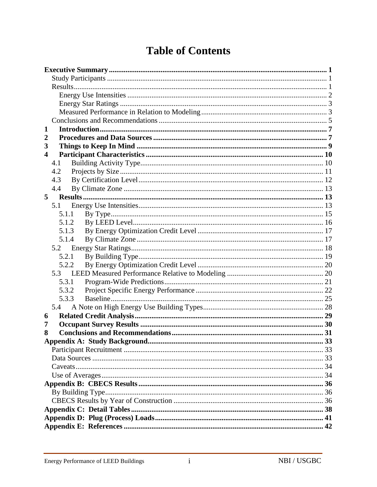# **Table of Contents**

| 1     |  |
|-------|--|
| 2     |  |
| 3     |  |
| 4     |  |
| 4.1   |  |
| 4.2   |  |
| 4.3   |  |
| 4.4   |  |
| 5     |  |
| 5.1   |  |
| 5.1.1 |  |
| 5.1.2 |  |
| 5.1.3 |  |
| 5.1.4 |  |
| 5.2   |  |
| 5.2.1 |  |
| 5.2.2 |  |
|       |  |
| 5.3.1 |  |
| 5.3.2 |  |
| 5.3.3 |  |
| 5.4   |  |
| 6     |  |
| 7     |  |
| 8     |  |
|       |  |
|       |  |
|       |  |
|       |  |
|       |  |
|       |  |
|       |  |
|       |  |
|       |  |
|       |  |
|       |  |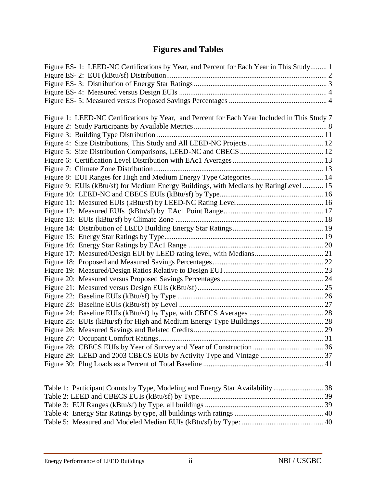## **Figures and Tables**

| Figure ES- 1: LEED-NC Certifications by Year, and Percent for Each Year in This Study 1      |  |
|----------------------------------------------------------------------------------------------|--|
|                                                                                              |  |
|                                                                                              |  |
|                                                                                              |  |
|                                                                                              |  |
|                                                                                              |  |
| Figure 1: LEED-NC Certifications by Year, and Percent for Each Year Included in This Study 7 |  |
|                                                                                              |  |
|                                                                                              |  |
|                                                                                              |  |
|                                                                                              |  |
|                                                                                              |  |
|                                                                                              |  |
|                                                                                              |  |
| Figure 9: EUIs (kBtu/sf) for Medium Energy Buildings, with Medians by RatingLevel  15        |  |
|                                                                                              |  |
|                                                                                              |  |
|                                                                                              |  |
|                                                                                              |  |
|                                                                                              |  |
|                                                                                              |  |
|                                                                                              |  |
| Figure 17: Measured/Design EUI by LEED rating level, with Medians 21                         |  |
|                                                                                              |  |
|                                                                                              |  |
|                                                                                              |  |
|                                                                                              |  |
|                                                                                              |  |
|                                                                                              |  |
|                                                                                              |  |
|                                                                                              |  |
|                                                                                              |  |
|                                                                                              |  |
|                                                                                              |  |
|                                                                                              |  |
|                                                                                              |  |
|                                                                                              |  |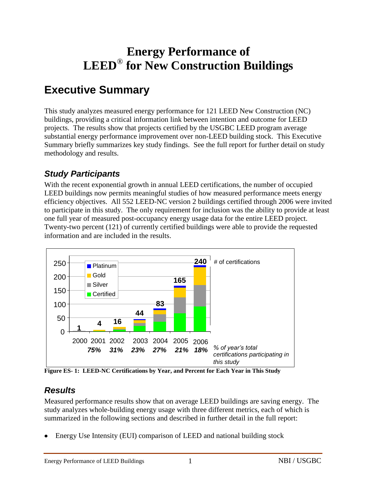# **Energy Performance of LEED**® **for New Construction Buildings**

# <span id="page-4-0"></span>**Executive Summary**

This study analyzes measured energy performance for 121 LEED New Construction (NC) buildings, providing a critical information link between intention and outcome for LEED projects. The results show that projects certified by the USGBC LEED program average substantial energy performance improvement over non-LEED building stock. This Executive Summary briefly summarizes key study findings. See the full report for further detail on study methodology and results.

### <span id="page-4-1"></span>*Study Participants*

With the recent exponential growth in annual LEED certifications, the number of occupied LEED buildings now permits meaningful studies of how measured performance meets energy efficiency objectives. All 552 LEED-NC version 2 buildings certified through 2006 were invited to participate in this study. The only requirement for inclusion was the ability to provide at least one full year of measured post-occupancy energy usage data for the entire LEED project. Twenty-two percent (121) of currently certified buildings were able to provide the requested information and are included in the results.



<span id="page-4-3"></span><span id="page-4-2"></span>**Figure ES- 1: LEED-NC Certifications by Year, and Percent for Each Year in This Study**

### *Results*

Measured performance results show that on average LEED buildings are saving energy. The study analyzes whole-building energy usage with three different metrics, each of which is summarized in the following sections and described in further detail in the full report:

Energy Use Intensity (EUI) comparison of LEED and national building stock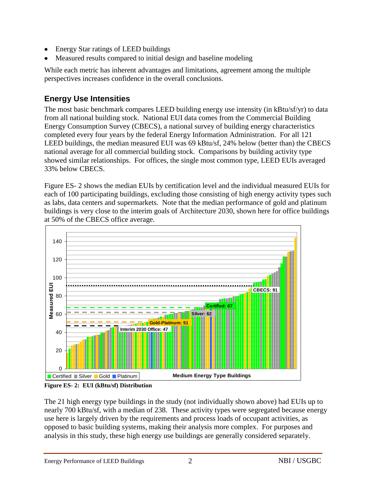- Energy Star ratings of LEED buildings
- Measured results compared to initial design and baseline modeling

While each metric has inherent advantages and limitations, agreement among the multiple perspectives increases confidence in the overall conclusions.

### <span id="page-5-0"></span>**Energy Use Intensities**

The most basic benchmark compares LEED building energy use intensity (in kBtu/sf/yr) to data from all national building stock. National EUI data comes from the Commercial Building Energy Consumption Survey (CBECS), a national survey of building energy characteristics completed every four years by the federal Energy Information Administration. For all 121 LEED buildings, the median measured EUI was 69 kBtu/sf, 24% below (better than) the CBECS national average for all commercial building stock. Comparisons by building activity type showed similar relationships. For offices, the single most common type, LEED EUIs averaged 33% below CBECS.

[Figure ES-](#page-5-1) 2 shows the median EUIs by certification level and the individual measured EUIs for each of 100 participating buildings, excluding those consisting of high energy activity types such as labs, data centers and supermarkets. Note that the median performance of gold and platinum buildings is very close to the interim goals of Architecture 2030, shown here for office buildings at 50% of the CBECS office average.



<span id="page-5-1"></span>**Figure ES- 2: EUI (kBtu/sf) Distribution**

The 21 high energy type buildings in the study (not individually shown above) had EUIs up to nearly 700 kBtu/sf, with a median of 238. These activity types were segregated because energy use here is largely driven by the requirements and process loads of occupant activities, as opposed to basic building systems, making their analysis more complex. For purposes and analysis in this study, these high energy use buildings are generally considered separately.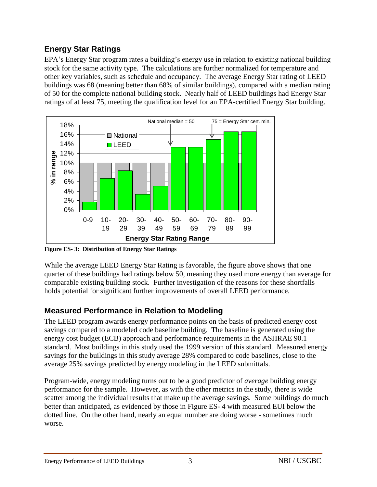### **Energy Star Ratings**

<span id="page-6-0"></span>EPA's Energy Star program rates a building's energy use in relation to existing national building stock for the same activity type. The calculations are further normalized for temperature and other key variables, such as schedule and occupancy. The average Energy Star rating of LEED buildings was 68 (meaning better than 68% of similar buildings), compared with a median rating of 50 for the complete national building stock. Nearly half of LEED buildings had Energy Star ratings of at least 75, meeting the qualification level for an EPA-certified Energy Star building.



<span id="page-6-2"></span>**Figure ES- 3: Distribution of Energy Star Ratings**

While the average LEED Energy Star Rating is favorable, the figure above shows that one quarter of these buildings had ratings below 50, meaning they used more energy than average for comparable existing building stock. Further investigation of the reasons for these shortfalls holds potential for significant further improvements of overall LEED performance.

### <span id="page-6-1"></span>**Measured Performance in Relation to Modeling**

The LEED program awards energy performance points on the basis of predicted energy cost savings compared to a modeled code baseline building. The baseline is generated using the energy cost budget (ECB) approach and performance requirements in the ASHRAE 90.1 standard. Most buildings in this study used the 1999 version of this standard. Measured energy savings for the buildings in this study average 28% compared to code baselines, close to the average 25% savings predicted by energy modeling in the LEED submittals.

Program-wide, energy modeling turns out to be a good predictor of *average* building energy performance for the sample. However, as with the other metrics in the study, there is wide scatter among the individual results that make up the average savings. Some buildings do much better than anticipated, as evidenced by those in [Figure ES-](#page-7-0) 4 with measured EUI below the dotted line. On the other hand, nearly an equal number are doing worse - sometimes much worse.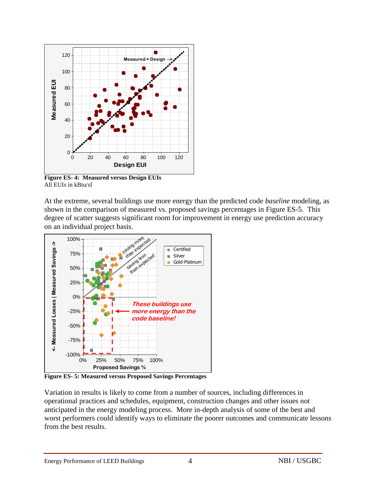

<span id="page-7-0"></span>**Figure ES- 4: Measured versus Design EUIs** All EUIs in kBtu/sf

At the extreme, several buildings use more energy than the predicted code *baseline* modeling, as shown in the comparison of measured vs. proposed savings percentages in Figure ES-5. This degree of scatter suggests significant room for improvement in energy use prediction accuracy on an individual project basis.



<span id="page-7-1"></span>**Figure ES- 5: Measured versus Proposed Savings Percentages**

Variation in results is likely to come from a number of sources, including differences in operational practices and schedules, equipment, construction changes and other issues not anticipated in the energy modeling process. More in-depth analysis of some of the best and worst performers could identify ways to eliminate the poorer outcomes and communicate lessons from the best results.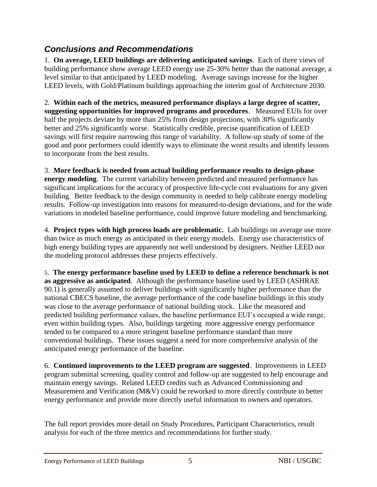### *Conclusions and Recommendations*

<span id="page-8-0"></span>1. **On average, LEED buildings are delivering anticipated savings**. Each of three views of building performance show average LEED energy use 25-30% better than the national average, a level similar to that anticipated by LEED modeling. Average savings increase for the higher LEED levels, with Gold/Platinum buildings approaching the interim goal of Architecture 2030.

2. **Within each of the metrics, measured performance displays a large degree of scatter, suggesting opportunities for improved programs and procedures**. Measured EUIs for over half the projects deviate by more than 25% from design projections, with 30% significantly better and 25% significantly worse. Statistically credible, precise quantification of LEED savings will first require narrowing this range of variability. A follow-up study of some of the good and poor performers could identify ways to eliminate the worst results and identify lessons to incorporate from the best results.

#### 3. **More feedback is needed from actual building performance results to design-phase**

**energy modeling**. The current variability between predicted and measured performance has significant implications for the accuracy of prospective life-cycle cost evaluations for any given building. Better feedback to the design community is needed to help calibrate energy modeling results. Follow-up investigation into reasons for measured-to-design deviations, and for the wide variations in modeled baseline performance, could improve future modeling and benchmarking.

4. **Project types with high process loads are problematic.** Lab buildings on average use more than twice as much energy as anticipated in their energy models. Energy use characteristics of high energy building types are apparently not well understood by designers. Neither LEED nor the modeling protocol addresses these projects effectively.

5. **The energy performance baseline used by LEED to define a reference benchmark is not as aggressive as anticipated**. Although the performance baseline used by LEED (ASHRAE 90.1) is generally assumed to deliver buildings with significantly higher performance than the national CBECS baseline, the average performance of the code baseline buildings in this study was close to the average performance of national building stock. Like the measured and predicted building performance values, the baseline performance EUI's occupied a wide range, even within building types. Also, buildings targeting more aggressive energy performance tended to be compared to a more stringent baseline performance standard than more conventional buildings. These issues suggest a need for more comprehensive analysis of the anticipated energy performance of the baseline.

6. **Continued improvements to the LEED program are suggested**. Improvements in LEED program submittal screening, quality control and follow-up are suggested to help encourage and maintain energy savings. Related LEED credits such as Advanced Commissioning and Measurement and Verification (M&V) could be reworked to more directly contribute to better energy performance and provide more directly useful information to owners and operators.

The full report provides more detail on Study Procedures, Participant Characteristics, result analysis for each of the three metrics and recommendations for further study.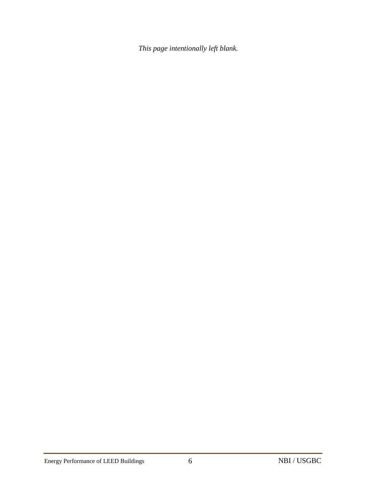*This page intentionally left blank.*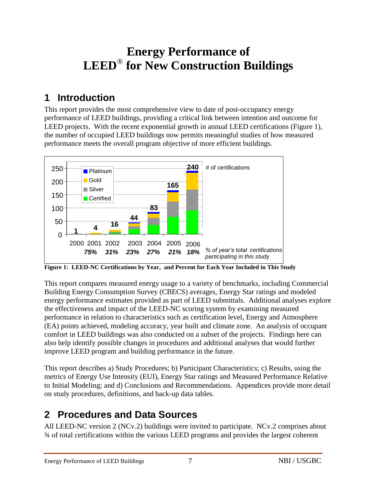# **Energy Performance of LEED**® **for New Construction Buildings**

## <span id="page-10-0"></span>**1 Introduction**

This report provides the most comprehensive view to date of post-occupancy energy performance of LEED buildings, providing a critical link between intention and outcome for LEED projects. With the recent exponential growth in annual LEED certifications [\(Figure 1\)](#page-10-2), the number of occupied LEED buildings now permits meaningful studies of how measured performance meets the overall program objective of more efficient buildings.



<span id="page-10-2"></span>**Figure 1: LEED-NC Certifications by Year, and Percent for Each Year Included in This Study**

This report compares measured energy usage to a variety of benchmarks, including Commercial Building Energy Consumption Survey (CBECS) averages, Energy Star ratings and modeled energy performance estimates provided as part of LEED submittals. Additional analyses explore the effectiveness and impact of the LEED-NC scoring system by examining measured performance in relation to characteristics such as certification level, Energy and Atmosphere (EA) points achieved, modeling accuracy, year built and climate zone. An analysis of occupant comfort in LEED buildings was also conducted on a subset of the projects. Findings here can also help identify possible changes in procedures and additional analyses that would further improve LEED program and building performance in the future.

This report describes a) Study Procedures; b) Participant Characteristics; c) Results, using the metrics of Energy Use Intensity (EUI), Energy Star ratings and Measured Performance Relative to Initial Modeling; and d) Conclusions and Recommendations. Appendices provide more detail on study procedures, definitions, and back-up data tables.

# <span id="page-10-1"></span>**2 Procedures and Data Sources**

All LEED-NC version 2 (NCv.2) buildings were invited to participate. NCv.2 comprises about ¾ of total certifications within the various LEED programs and provides the largest coherent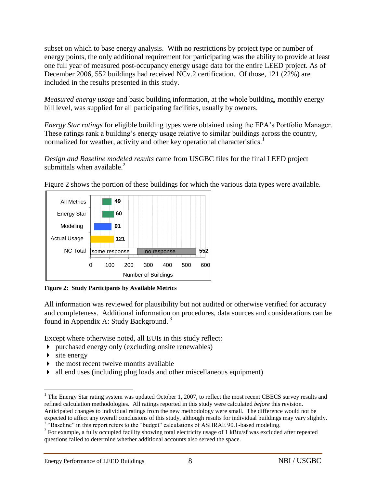subset on which to base energy analysis. With no restrictions by project type or number of energy points, the only additional requirement for participating was the ability to provide at least one full year of measured post-occupancy energy usage data for the entire LEED project. As of December 2006, 552 buildings had received NCv.2 certification. Of those, 121 (22%) are included in the results presented in this study.

*Measured energy usage* and basic building information, at the whole building, monthly energy bill level, was supplied for all participating facilities, usually by owners.

*Energy Star ratings* for eligible building types were obtained using the EPA's Portfolio Manager. These ratings rank a building's energy usage relative to similar buildings across the country, normalized for weather, activity and other key operational characteristics.<sup>1</sup>

*Design and Baseline modeled results* came from USGBC files for the final LEED project submittals when available. $2^2$ 



[Figure 2](#page-11-0) shows the portion of these buildings for which the various data types were available.

<span id="page-11-0"></span>**Figure 2: Study Participants by Available Metrics**

All information was reviewed for plausibility but not audited or otherwise verified for accuracy and completeness. Additional information on procedures, data sources and considerations can be found in Appendix A: Study Background.<sup>3</sup>

Except where otherwise noted, all EUIs in this study reflect:

- purchased energy only (excluding onsite renewables)
- $\triangleright$  site energy
- $\blacktriangleright$  the most recent twelve months available
- all end uses (including plug loads and other miscellaneous equipment)

<sup>3</sup> For example, a fully occupied facility showing total electricity usage of 1 kBtu/sf was excluded after repeated

 $\overline{a}$ <sup>1</sup> The Energy Star rating system was updated October 1, 2007, to reflect the most recent CBECS survey results and refined calculation methodologies. All ratings reported in this study were calculated *before* this revision. Anticipated changes to individual ratings from the new methodology were small. The difference would not be expected to affect any overall conclusions of this study, although results for individual buildings may vary slightly.<br><sup>2</sup> "Baseline" in this report refers to the "budget" calculations of ASHRAE 90.1-based modeling.

questions failed to determine whether additional accounts also served the space.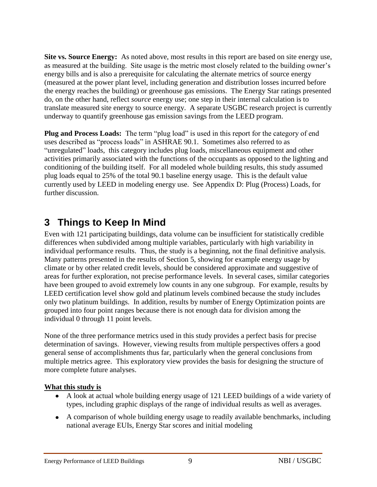**Site vs. Source Energy:** As noted above, most results in this report are based on site energy use, as measured at the building. Site usage is the metric most closely related to the building owner's energy bills and is also a prerequisite for calculating the alternate metrics of source energy (measured at the power plant level, including generation and distribution losses incurred before the energy reaches the building) or greenhouse gas emissions. The Energy Star ratings presented do, on the other hand, reflect *source* energy use; one step in their internal calculation is to translate measured site energy to source energy. A separate USGBC research project is currently underway to quantify greenhouse gas emission savings from the LEED program.

**Plug and Process Loads:** The term "plug load" is used in this report for the category of end uses described as "process loads" in ASHRAE 90.1. Sometimes also referred to as "unregulated" loads, this category includes plug loads, miscellaneous equipment and other activities primarily associated with the functions of the occupants as opposed to the lighting and conditioning of the building itself. For all modeled whole building results, this study assumed plug loads equal to 25% of the total 90.1 baseline energy usage. This is the default value currently used by LEED in modeling energy use. See Appendix D: Plug (Process) Loads, for further discussion.

## <span id="page-12-0"></span>**3 Things to Keep In Mind**

Even with 121 participating buildings, data volume can be insufficient for statistically credible differences when subdivided among multiple variables, particularly with high variability in individual performance results. Thus, the study is a beginning, not the final definitive analysis. Many patterns presented in the results of Section [5,](#page-16-1) showing for example energy usage by climate or by other related credit levels, should be considered approximate and suggestive of areas for further exploration, not precise performance levels. In several cases, similar categories have been grouped to avoid extremely low counts in any one subgroup. For example, results by LEED certification level show gold and platinum levels combined because the study includes only two platinum buildings. In addition, results by number of Energy Optimization points are grouped into four point ranges because there is not enough data for division among the individual 0 through 11 point levels.

None of the three performance metrics used in this study provides a perfect basis for precise determination of savings. However, viewing results from multiple perspectives offers a good general sense of accomplishments thus far, particularly when the general conclusions from multiple metrics agree. This exploratory view provides the basis for designing the structure of more complete future analyses.

#### **What this study is**

- A look at actual whole building energy usage of 121 LEED buildings of a wide variety of types, including graphic displays of the range of individual results as well as averages.
- A comparison of whole building energy usage to readily available benchmarks, including national average EUIs, Energy Star scores and initial modeling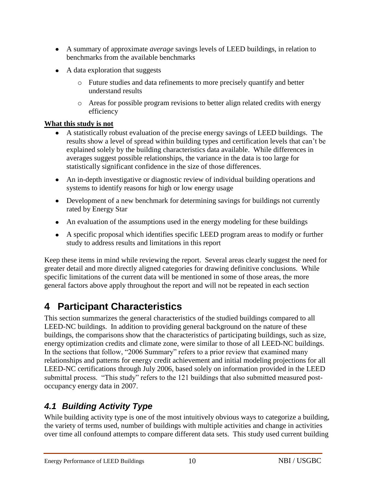- A summary of approximate *average* savings levels of LEED buildings, in relation to benchmarks from the available benchmarks
- A data exploration that suggests
	- o Future studies and data refinements to more precisely quantify and better understand results
	- o Areas for possible program revisions to better align related credits with energy efficiency

#### **What this study is not**

- A statistically robust evaluation of the precise energy savings of LEED buildings. The results show a level of spread within building types and certification levels that can't be explained solely by the building characteristics data available. While differences in averages suggest possible relationships, the variance in the data is too large for statistically significant confidence in the size of those differences.
- An in-depth investigative or diagnostic review of individual building operations and systems to identify reasons for high or low energy usage
- Development of a new benchmark for determining savings for buildings not currently rated by Energy Star
- An evaluation of the assumptions used in the energy modeling for these buildings
- A specific proposal which identifies specific LEED program areas to modify or further study to address results and limitations in this report

Keep these items in mind while reviewing the report. Several areas clearly suggest the need for greater detail and more directly aligned categories for drawing definitive conclusions. While specific limitations of the current data will be mentioned in some of those areas, the more general factors above apply throughout the report and will not be repeated in each section

# <span id="page-13-0"></span>**4 Participant Characteristics**

This section summarizes the general characteristics of the studied buildings compared to all LEED-NC buildings. In addition to providing general background on the nature of these buildings, the comparisons show that the characteristics of participating buildings, such as size, energy optimization credits and climate zone, were similar to those of all LEED-NC buildings. In the sections that follow, "2006 Summary" refers to a prior review that examined many relationships and patterns for energy credit achievement and initial modeling projections for all LEED-NC certifications through July 2006, based solely on information provided in the LEED submittal process. "This study" refers to the 121 buildings that also submitted measured postoccupancy energy data in 2007.

## <span id="page-13-1"></span>*4.1 Building Activity Type*

While building activity type is one of the most intuitively obvious ways to categorize a building, the variety of terms used, number of buildings with multiple activities and change in activities over time all confound attempts to compare different data sets. This study used current building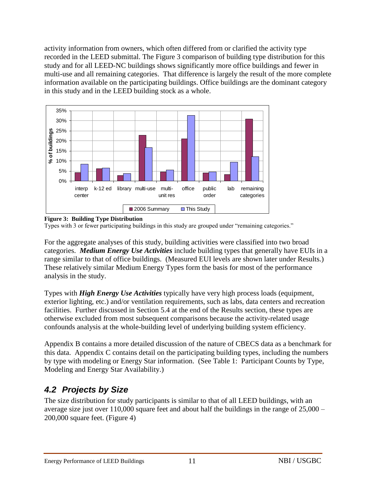activity information from owners, which often differed from or clarified the activity type recorded in the LEED submittal. The [Figure 3](#page-14-1) comparison of building type distribution for this study and for all LEED-NC buildings shows significantly more office buildings and fewer in multi-use and all remaining categories. That difference is largely the result of the more complete information available on the participating buildings. Office buildings are the dominant category in this study and in the LEED building stock as a whole.



<span id="page-14-1"></span>**Figure 3: Building Type Distribution**

Types with 3 or fewer participating buildings in this study are grouped under "remaining categories."

For the aggregate analyses of this study, building activities were classified into two broad categories. *Medium Energy Use Activities* include building types that generally have EUIs in a range similar to that of office buildings. (Measured EUI levels are shown later under Results.) These relatively similar Medium Energy Types form the basis for most of the performance analysis in the study.

Types with *High Energy Use Activities* typically have very high process loads (equipment, exterior lighting, etc.) and/or ventilation requirements, such as labs, data centers and recreation facilities. Further discussed in Section [5.4](#page-31-0) at the end of the [Results](#page-16-1) section, these types are otherwise excluded from most subsequent comparisons because the activity-related usage confounds analysis at the whole-building level of underlying building system efficiency.

Appendix B contains a more detailed discussion of the nature of CBECS data as a benchmark for this data. Appendix C contains detail on the participating building types, including the numbers by type with modeling or Energy Star information. (See Table [1: Participant Counts by Type,](#page-41-1)  [Modeling and Energy Star Availability.](#page-41-1))

### <span id="page-14-0"></span>*4.2 Projects by Size*

The size distribution for study participants is similar to that of all LEED buildings, with an average size just over 110,000 square feet and about half the buildings in the range of 25,000 – 200,000 square feet. [\(Figure 4\)](#page-15-1)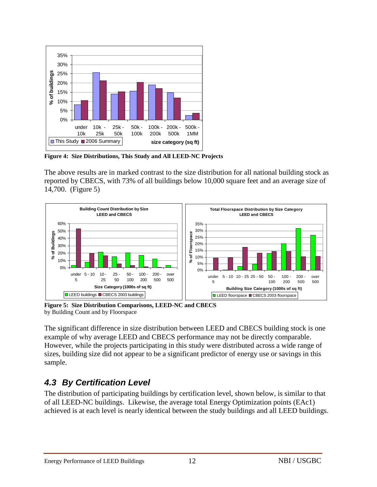

<span id="page-15-1"></span>**Figure 4: Size Distributions, This Study and All LEED-NC Projects**

The above results are in marked contrast to the size distribution for all national building stock as reported by CBECS, with 73% of all buildings below 10,000 square feet and an average size of 14,700. [\(Figure 5\)](#page-15-2)



<span id="page-15-2"></span>**Figure 5: Size Distribution Comparisons, LEED-NC and CBECS** by Building Count and by Floorspace

The significant difference in size distribution between LEED and CBECS building stock is one example of why average LEED and CBECS performance may not be directly comparable. However, while the projects participating in this study were distributed across a wide range of sizes, building size did not appear to be a significant predictor of energy use or savings in this sample.

## <span id="page-15-0"></span>*4.3 By Certification Level*

The distribution of participating buildings by certification level, shown below, is similar to that of all LEED-NC buildings. Likewise, the average total Energy Optimization points (EAc1) achieved is at each level is nearly identical between the study buildings and all LEED buildings.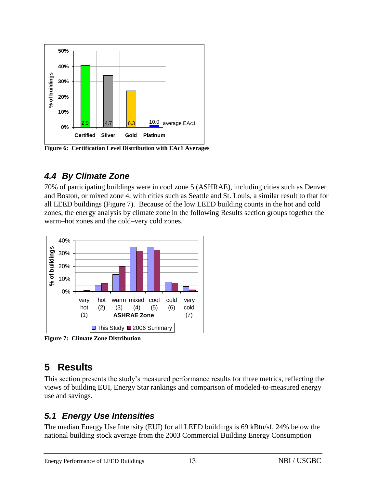

<span id="page-16-3"></span>**Figure 6: Certification Level Distribution with EAc1 Averages**

### <span id="page-16-0"></span>*4.4 By Climate Zone*

70% of participating buildings were in cool zone 5 (ASHRAE), including cities such as Denver and Boston, or mixed zone 4, with cities such as Seattle and St. Louis, a similar result to that for all LEED buildings [\(Figure 7\)](#page-16-4). Because of the low LEED building counts in the hot and cold zones, the energy analysis by climate zone in the following Results section groups together the warm–hot zones and the cold–very cold zones.



<span id="page-16-4"></span>**Figure 7: Climate Zone Distribution**

## <span id="page-16-1"></span>**5 Results**

This section presents the study's measured performance results for three metrics, reflecting the views of building EUI, Energy Star rankings and comparison of modeled-to-measured energy use and savings.

### <span id="page-16-2"></span>*5.1 Energy Use Intensities*

The median Energy Use Intensity (EUI) for all LEED buildings is 69 kBtu/sf, 24% below the national building stock average from the 2003 Commercial Building Energy Consumption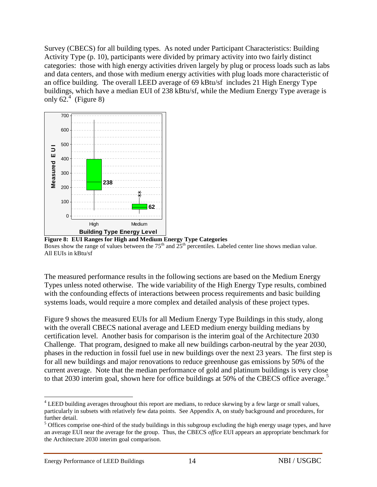Survey (CBECS) for all building types. As noted under [Participant Characteristics:](#page-13-0) [Building](#page-13-1)  [Activity Type](#page-13-1) (p. [10\)](#page-13-1), participants were divided by primary activity into two fairly distinct categories: those with high energy activities driven largely by plug or process loads such as labs and data centers, and those with medium energy activities with plug loads more characteristic of an office building. The overall LEED average of 69 kBtu/sf includes 21 High Energy Type buildings, which have a median EUI of 238 kBtu/sf, while the Medium Energy Type average is only  $62.4$  [\(Figure 8\)](#page-17-0)



<span id="page-17-0"></span>**Figure 8: EUI Ranges for High and Medium Energy Type Categories** Boxes show the range of values between the  $75<sup>th</sup>$  and  $25<sup>th</sup>$  percentiles. Labeled center line shows median value. All EUIs in kBtu/sf

The measured performance results in the following sections are based on the Medium Energy Types unless noted otherwise. The wide variability of the High Energy Type results, combined with the confounding effects of interactions between process requirements and basic building systems loads, would require a more complex and detailed analysis of these project types.

[Figure 9](#page-18-1) shows the measured EUIs for all Medium Energy Type Buildings in this study, along with the overall CBECS national average and LEED medium energy building medians by certification level. Another basis for comparison is the interim goal of the Architecture 2030 Challenge. That program, designed to make all new buildings carbon-neutral by the year 2030, phases in the reduction in fossil fuel use in new buildings over the next 23 years. The first step is for all new buildings and major renovations to reduce greenhouse gas emissions by 50% of the current average. Note that the median performance of gold and platinum buildings is very close to that 2030 interim goal, shown here for office buildings at 50% of the CBECS office average.<sup>5</sup>

 $\overline{a}$ 

<sup>&</sup>lt;sup>4</sup> LEED building averages throughout this report are medians, to reduce skewing by a few large or small values, particularly in subsets with relatively few data points. See Appendix A, on study background and procedures, for further detail.

<sup>&</sup>lt;sup>5</sup> Offices comprise one-third of the study buildings in this subgroup excluding the high energy usage types, and have an average EUI near the average for the group. Thus, the CBECS *office* EUI appears an appropriate benchmark for the Architecture 2030 interim goal comparison.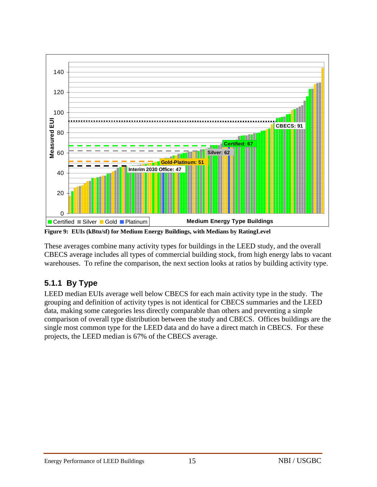

<span id="page-18-1"></span>**Figure 9: EUIs (kBtu/sf) for Medium Energy Buildings, with Medians by RatingLevel** 

These averages combine many activity types for buildings in the LEED study, and the overall CBECS average includes all types of commercial building stock, from high energy labs to vacant warehouses. To refine the comparison, the next section looks at ratios by building activity type.

### <span id="page-18-0"></span>**5.1.1 By Type**

LEED median EUIs average well below CBECS for each main activity type in the study. The grouping and definition of activity types is not identical for CBECS summaries and the LEED data, making some categories less directly comparable than others and preventing a simple comparison of overall type distribution between the study and CBECS. Offices buildings are the single most common type for the LEED data and do have a direct match in CBECS. For these projects, the LEED median is 67% of the CBECS average.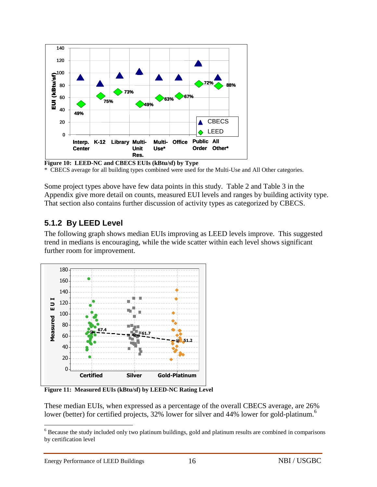

<span id="page-19-1"></span>**Figure 10: LEED-NC and CBECS EUIs (kBtu/sf) by Type** \* CBECS average for all building types combined were used for the Multi-Use and All Other categories.

Some project types above have few data points in this study. [Table 2](#page-42-0) and [Table 3](#page-42-1) in the Appendix give more detail on counts, measured EUI levels and ranges by building activity type. That section also contains further discussion of activity types as categorized by CBECS.

#### <span id="page-19-0"></span>**5.1.2 By LEED Level**

The following graph shows median EUIs improving as LEED levels improve. This suggested trend in medians is encouraging, while the wide scatter within each level shows significant further room for improvement.



<span id="page-19-2"></span>**Figure 11: Measured EUIs (kBtu/sf) by LEED-NC Rating Level**

These median EUIs, when expressed as a percentage of the overall CBECS average, are 26% lower (better) for certified projects, 32% lower for silver and 44% lower for gold-platinum.<sup>6</sup>

 $\overline{a}$ 

<sup>6</sup> Because the study included only two platinum buildings, gold and platinum results are combined in comparisons by certification level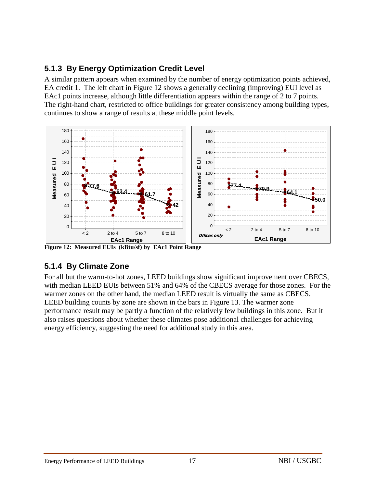### <span id="page-20-0"></span>**5.1.3 By Energy Optimization Credit Level**

A similar pattern appears when examined by the number of energy optimization points achieved, EA credit 1. The left chart in [Figure 12](#page-20-2) shows a generally declining (improving) EUI level as EAc1 points increase, although little differentiation appears within the range of 2 to 7 points. The right-hand chart, restricted to office buildings for greater consistency among building types, continues to show a range of results at these middle point levels.



<span id="page-20-2"></span><span id="page-20-1"></span>**Figure 12: Measured EUIs (kBtu/sf) by EAc1 Point Range**

### **5.1.4 By Climate Zone**

For all but the warm-to-hot zones, LEED buildings show significant improvement over CBECS, with median LEED EUIs between 51% and 64% of the CBECS average for those zones. For the warmer zones on the other hand, the median LEED result is virtually the same as CBECS. LEED building counts by zone are shown in the bars in [Figure 13.](#page-21-1) The warmer zone performance result may be partly a function of the relatively few buildings in this zone. But it also raises questions about whether these climates pose additional challenges for achieving energy efficiency, suggesting the need for additional study in this area.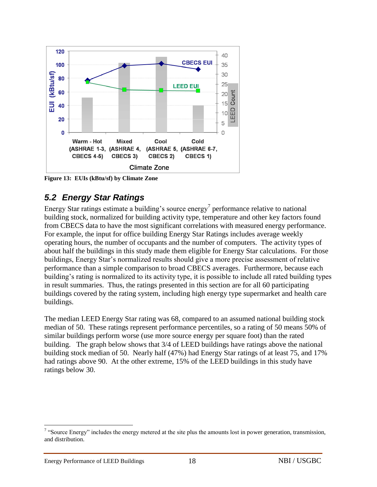

<span id="page-21-1"></span><span id="page-21-0"></span>**Figure 13: EUIs (kBtu/sf) by Climate Zone**

### *5.2 Energy Star Ratings*

Energy Star ratings estimate a building's source energy<sup>7</sup> performance relative to national building stock, normalized for building activity type, temperature and other key factors found from CBECS data to have the most significant correlations with measured energy performance. For example, the input for office building Energy Star Ratings includes average weekly operating hours, the number of occupants and the number of computers. The activity types of about half the buildings in this study made them eligible for Energy Star calculations. For those buildings, Energy Star's normalized results should give a more precise assessment of relative performance than a simple comparison to broad CBECS averages. Furthermore, because each building's rating is normalized to its activity type, it is possible to include all rated building types in result summaries. Thus, the ratings presented in this section are for all 60 participating buildings covered by the rating system, including high energy type supermarket and health care buildings.

The median LEED Energy Star rating was 68, compared to an assumed national building stock median of 50. These ratings represent performance percentiles, so a rating of 50 means 50% of similar buildings perform worse (use more source energy per square foot) than the rated building. The graph [below](#page-22-1) shows that 3/4 of LEED buildings have ratings above the national building stock median of 50. Nearly half (47%) had Energy Star ratings of at least 75, and 17% had ratings above 90. At the other extreme, 15% of the LEED buildings in this study have ratings below 30.

<sup>&</sup>lt;sup>7</sup> "Source Energy" includes the energy metered at the site plus the amounts lost in power generation, transmission, and distribution.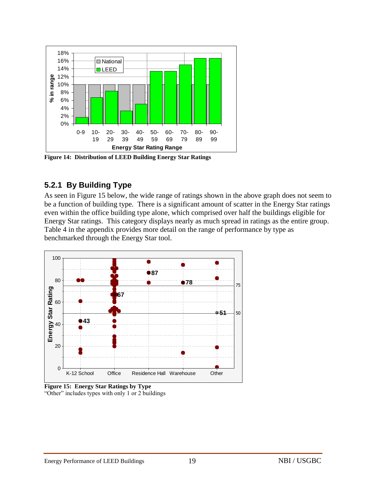

<span id="page-22-1"></span>**Figure 14: Distribution of LEED Building Energy Star Ratings**

#### <span id="page-22-0"></span>**5.2.1 By Building Type**

As seen in [Figure 15](#page-22-2) [below,](#page-22-2) the wide range of ratings shown in the above graph does not seem to be a function of building type. There is a significant amount of scatter in the Energy Star ratings even within the office building type alone, which comprised over half the buildings eligible for Energy Star ratings. This category displays nearly as much spread in ratings as the entire group. [Table 4](#page-43-0) in the appendix provides more detail on the range of performance by type as benchmarked through the Energy Star tool.



<span id="page-22-2"></span>**Figure 15: Energy Star Ratings by Type** "Other" includes types with only 1 or 2 buildings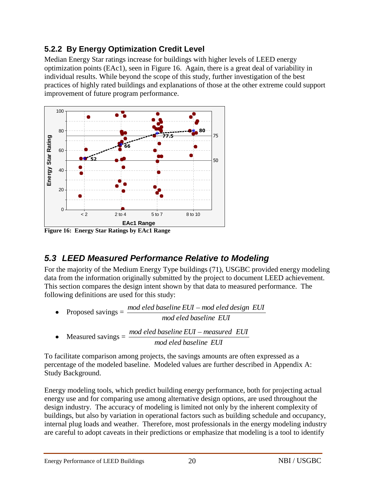### **5.2.2 By Energy Optimization Credit Level**

<span id="page-23-0"></span>Median Energy Star ratings increase for buildings with higher levels of LEED energy optimization points (EAc1), seen in [Figure 16.](#page-23-2) Again, there is a great deal of variability in individual results. While beyond the scope of this study, further investigation of the best practices of highly rated buildings and explanations of those at the other extreme could support improvement of future program performance.



# <span id="page-23-2"></span><span id="page-23-1"></span>*5.3 LEED Measured Performance Relative to Modeling*

For the majority of the Medium Energy Type buildings (71), USGBC provided energy modeling data from the information originally submitted by the project to document LEED achievement. This section compares the design intent shown by that data to measured performance. The following definitions are used for this study:

Proposed savings = *mod eled baseline EUI mod eled baseline EUI mod eled design EUI* Measured savings  $=$ *mod eled baseline EUI mod eled baseline EUI measured EUI*

To facilitate comparison among projects, the savings amounts are often expressed as a percentage of the modeled baseline. Modeled values are further described in [Appendix A:](#page-36-0)  [Study Background.](#page-36-0)

Energy modeling tools, which predict building energy performance, both for projecting actual energy use and for comparing use among alternative design options, are used throughout the design industry. The accuracy of modeling is limited not only by the inherent complexity of buildings, but also by variation in operational factors such as building schedule and occupancy, internal plug loads and weather. Therefore, most professionals in the energy modeling industry are careful to adopt caveats in their predictions or emphasize that modeling is a tool to identify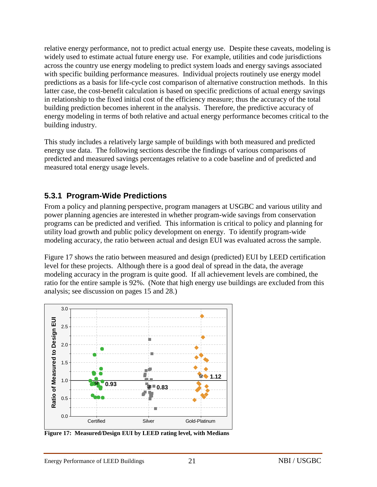relative energy performance, not to predict actual energy use. Despite these caveats, modeling is widely used to estimate actual future energy use. For example, utilities and code jurisdictions across the country use energy modeling to predict system loads and energy savings associated with specific building performance measures. Individual projects routinely use energy model predictions as a basis for life-cycle cost comparison of alternative construction methods. In this latter case, the cost-benefit calculation is based on specific predictions of actual energy savings in relationship to the fixed initial cost of the efficiency measure; thus the accuracy of the total building prediction becomes inherent in the analysis. Therefore, the predictive accuracy of energy modeling in terms of both relative and actual energy performance becomes critical to the building industry.

This study includes a relatively large sample of buildings with both measured and predicted energy use data. The following sections describe the findings of various comparisons of predicted and measured savings percentages relative to a code baseline and of predicted and measured total energy usage levels.

#### <span id="page-24-0"></span>**5.3.1 Program-Wide Predictions**

From a policy and planning perspective, program managers at USGBC and various utility and power planning agencies are interested in whether program-wide savings from conservation programs can be predicted and verified. This information is critical to policy and planning for utility load growth and public policy development on energy. To identify program-wide modeling accuracy, the ratio between actual and design EUI was evaluated across the sample.

[Figure 17](#page-24-1) shows the ratio between measured and design (predicted) EUI by LEED certification level for these projects. Although there is a good deal of spread in the data, the average modeling accuracy in the program is quite good. If all achievement levels are combined, the ratio for the entire sample is 92%. (Note that high energy use buildings are excluded from this analysis; see discussion on pages [15](#page-18-0) and [28.](#page-31-0))



<span id="page-24-1"></span>**Figure 17: Measured/Design EUI by LEED rating level, with Medians**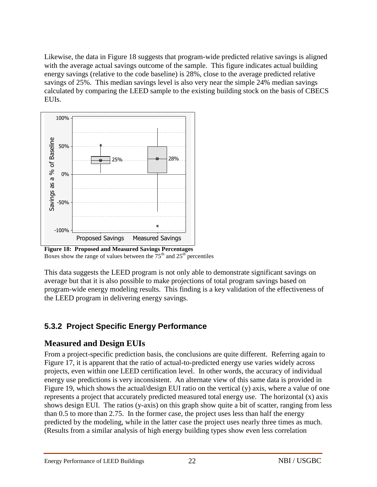Likewise, the data in [Figure 18](#page-25-1) suggests that program-wide predicted relative savings is aligned with the average actual savings outcome of the sample. This figure indicates actual building energy savings (relative to the code baseline) is 28%, close to the average predicted relative savings of 25%. This median savings level is also very near the simple 24% median savings calculated by comparing the LEED sample to the existing building stock on the basis of CBECS EUIs.



<span id="page-25-1"></span>**Figure 18: Proposed and Measured Savings Percentages** Boxes show the range of values between the  $75<sup>th</sup>$  and  $25<sup>th</sup>$  percentiles

This data suggests the LEED program is not only able to demonstrate significant savings on average but that it is also possible to make projections of total program savings based on program-wide energy modeling results. This finding is a key validation of the effectiveness of the LEED program in delivering energy savings.

### <span id="page-25-0"></span>**5.3.2 Project Specific Energy Performance**

### **Measured and Design EUIs**

From a project-specific prediction basis, the conclusions are quite different. Referring again to [Figure 17,](#page-24-1) it is apparent that the ratio of actual-to-predicted energy use varies widely across projects, even within one LEED certification level. In other words, the accuracy of individual energy use predictions is very inconsistent. An alternate view of this same data is provided in [Figure 19,](#page-26-0) which shows the actual/design EUI ratio on the vertical (y) axis, where a value of one represents a project that accurately predicted measured total energy use. The horizontal (x) axis shows design EUI. The ratios (y-axis) on this graph show quite a bit of scatter, ranging from less than 0.5 to more than 2.75. In the former case, the project uses less than half the energy predicted by the modeling, while in the latter case the project uses nearly three times as much. (Results from a similar analysis of high energy building types show even less correlation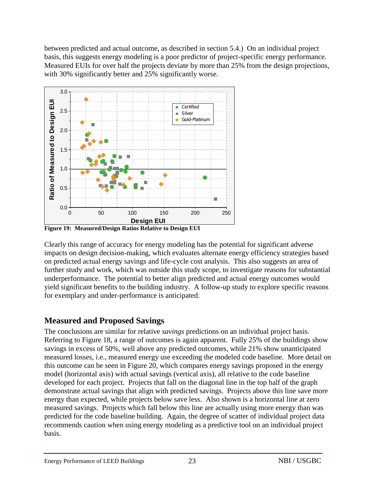between predicted and actual outcome, as described in section [5.4.](#page-31-0)) On an individual project basis, this suggests energy modeling is a poor predictor of project-specific energy performance. Measured EUIs for over half the projects deviate by more than 25% from the design projections, with 30% significantly better and 25% significantly worse.



<span id="page-26-0"></span>**Figure 19: Measured/Design Ratios Relative to Design EUI**

Clearly this range of accuracy for energy modeling has the potential for significant adverse impacts on design decision-making, which evaluates alternate energy efficiency strategies based on predicted actual energy savings and life-cycle cost analysis. This also suggests an area of further study and work, which was outside this study scope, to investigate reasons for substantial underperformance. The potential to better align predicted and actual energy outcomes would yield significant benefits to the building industry. A follow-up study to explore specific reasons for exemplary and under-performance is anticipated.

### **Measured and Proposed Savings**

The conclusions are similar for relative *savings* predictions on an individual project basis. Referring to [Figure 18,](#page-25-1) a range of outcomes is again apparent. Fully 25% of the buildings show savings in excess of 50%, well above any predicted outcomes, while 21% show unanticipated measured losses, i.e., measured energy use exceeding the modeled code baseline. More detail on this outcome can be seen in [Figure 20,](#page-27-0) which compares energy savings proposed in the energy model (horizontal axis) with actual savings (vertical axis), all relative to the code baseline developed for each project. Projects that fall on the diagonal line in the top half of the graph demonstrate actual savings that align with predicted savings. Projects above this line save more energy than expected, while projects below save less. Also shown is a horizontal line at zero measured savings. Projects which fall below this line are actually using more energy than was predicted for the code baseline building. Again, the degree of scatter of individual project data recommends caution when using energy modeling as a predictive tool on an individual project basis.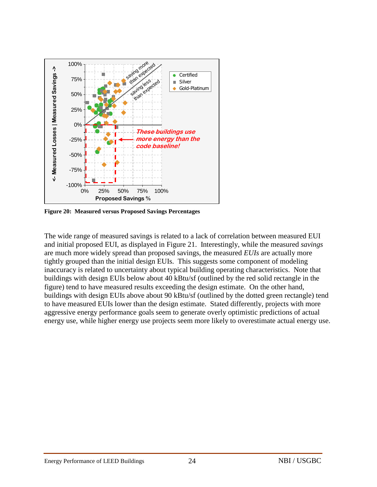

<span id="page-27-0"></span>**Figure 20: Measured versus Proposed Savings Percentages**

The wide range of measured savings is related to a lack of correlation between measured EUI and initial proposed EUI, as displayed in [Figure 21.](#page-28-1) Interestingly, while the measured *savings* are much more widely spread than proposed savings, the measured *EUIs* are actually more tightly grouped than the initial design EUIs. This suggests some component of modeling inaccuracy is related to uncertainty about typical building operating characteristics. Note that buildings with design EUIs below about 40 kBtu/sf (outlined by the red solid rectangle in the figure) tend to have measured results exceeding the design estimate. On the other hand, buildings with design EUIs above about 90 kBtu/sf (outlined by the dotted green rectangle) tend to have measured EUIs lower than the design estimate. Stated differently, projects with more aggressive energy performance goals seem to generate overly optimistic predictions of actual energy use, while higher energy use projects seem more likely to overestimate actual energy use.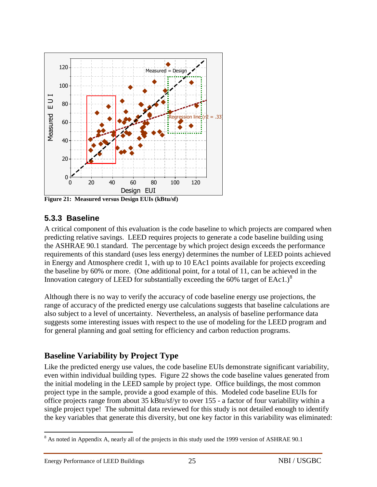

<span id="page-28-1"></span><span id="page-28-0"></span>**Figure 21: Measured versus Design EUIs (kBtu/sf)**

#### **5.3.3 Baseline**

A critical component of this evaluation is the code baseline to which projects are compared when predicting relative savings. LEED requires projects to generate a code baseline building using the ASHRAE 90.1 standard. The percentage by which project design exceeds the performance requirements of this standard (uses less energy) determines the number of LEED points achieved in Energy and Atmosphere credit 1, with up to 10 EAc1 points available for projects exceeding the baseline by 60% or more. (One additional point, for a total of 11, can be achieved in the Innovation category of LEED for substantially exceeding the 60% target of EAc1.) $8$ 

Although there is no way to verify the accuracy of code baseline energy use projections, the range of accuracy of the predicted energy use calculations suggests that baseline calculations are also subject to a level of uncertainty. Nevertheless, an analysis of baseline performance data suggests some interesting issues with respect to the use of modeling for the LEED program and for general planning and goal setting for efficiency and carbon reduction programs.

### **Baseline Variability by Project Type**

Like the predicted energy use values, the code baseline EUIs demonstrate significant variability, even within individual building types. [Figure 22](#page-29-0) shows the code baseline values generated from the initial modeling in the LEED sample by project type. Office buildings, the most common project type in the sample, provide a good example of this. Modeled code baseline EUIs for office projects range from about 35 kBtu/sf/yr to over 155 - a factor of four variability within a single project type! The submittal data reviewed for this study is not detailed enough to identify the key variables that generate this diversity, but one key factor in this variability was eliminated:

 $\overline{a}$ <sup>8</sup> As noted in Appendix A, nearly all of the projects in this study used the 1999 version of ASHRAE 90.1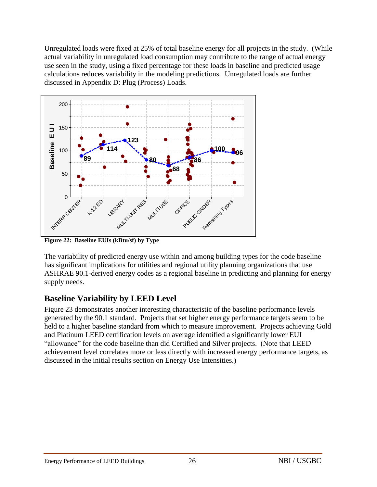Unregulated loads were fixed at 25% of total baseline energy for all projects in the study. (While actual variability in unregulated load consumption may contribute to the range of actual energy use seen in the study, using a fixed percentage for these loads in baseline and predicted usage calculations reduces variability in the modeling predictions. Unregulated loads are further discussed in Appendix D: Plug (Process) Loads.



<span id="page-29-0"></span>**Figure 22: Baseline EUIs (kBtu/sf) by Type** 

The variability of predicted energy use within and among building types for the code baseline has significant implications for utilities and regional utility planning organizations that use ASHRAE 90.1-derived energy codes as a regional baseline in predicting and planning for energy supply needs.

### **Baseline Variability by LEED Level**

[Figure 23](#page-30-0) demonstrates another interesting characteristic of the baseline performance levels generated by the 90.1 standard. Projects that set higher energy performance targets seem to be held to a higher baseline standard from which to measure improvement. Projects achieving Gold and Platinum LEED certification levels on average identified a significantly lower EUI "allowance" for the code baseline than did Certified and Silver projects. (Note that LEED achievement level correlates more or less directly with increased energy performance targets, as discussed in the initial results section on Energy Use Intensities.)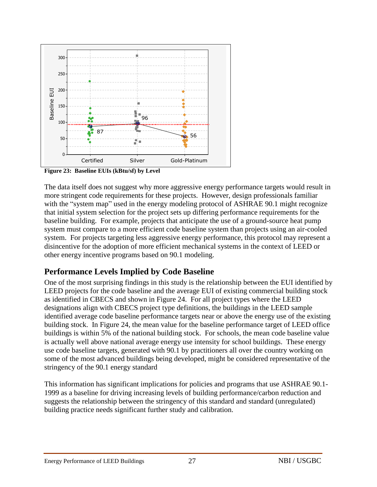

<span id="page-30-0"></span>**Figure 23: Baseline EUIs (kBtu/sf) by Level**

The data itself does not suggest why more aggressive energy performance targets would result in more stringent code requirements for these projects. However, design professionals familiar with the "system map" used in the energy modeling protocol of ASHRAE 90.1 might recognize that initial system selection for the project sets up differing performance requirements for the baseline building. For example, projects that anticipate the use of a ground-source heat pump system must compare to a more efficient code baseline system than projects using an air-cooled system. For projects targeting less aggressive energy performance, this protocol may represent a disincentive for the adoption of more efficient mechanical systems in the context of LEED or other energy incentive programs based on 90.1 modeling.

### **Performance Levels Implied by Code Baseline**

One of the most surprising findings in this study is the relationship between the EUI identified by LEED projects for the code baseline and the average EUI of existing commercial building stock as identified in CBECS and shown in [Figure 24.](#page-31-1) For all project types where the LEED designations align with CBECS project type definitions, the buildings in the LEED sample identified average code baseline performance targets near or above the energy use of the existing building stock. In [Figure 24,](#page-31-1) the mean value for the baseline performance target of LEED office buildings is within 5% of the national building stock. For schools, the mean code baseline value is actually well above national average energy use intensity for school buildings. These energy use code baseline targets, generated with 90.1 by practitioners all over the country working on some of the most advanced buildings being developed, might be considered representative of the stringency of the 90.1 energy standard

This information has significant implications for policies and programs that use ASHRAE 90.1- 1999 as a baseline for driving increasing levels of building performance/carbon reduction and suggests the relationship between the stringency of this standard and standard (unregulated) building practice needs significant further study and calibration.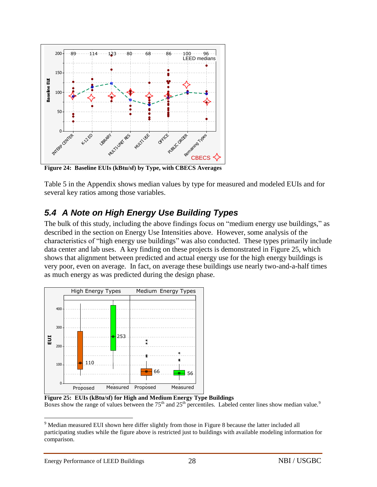

<span id="page-31-1"></span>**Figure 24: Baseline EUIs (kBtu/sf) by Type, with CBECS Averages**

[Table 5](#page-43-1) in the Appendix shows median values by type for measured and modeled EUIs and for several key ratios among those variables.

### <span id="page-31-0"></span>*5.4 A Note on High Energy Use Building Types*

The bulk of this study, including the above findings focus on "medium energy use buildings," as described in the section on Energy Use Intensities above. However, some analysis of the characteristics of "high energy use buildings" was also conducted. These types primarily include data center and lab uses. A key finding on these projects is demonstrated in [Figure 25,](#page-31-2) which shows that alignment between predicted and actual energy use for the high energy buildings is very poor, even on average. In fact, on average these buildings use nearly two-and-a-half times as much energy as was predicted during the design phase.



<span id="page-31-2"></span>**Figure 25: EUIs (kBtu/sf) for High and Medium Energy Type Buildings** Boxes show the range of values between the 75<sup>th</sup> and 25<sup>th</sup> percentiles. Labeled center lines show median value.<sup>9</sup>

 $\overline{a}$ 

<sup>&</sup>lt;sup>9</sup> Median measured EUI shown here differ slightly from those in [Figure 8](#page-17-0) because the latter included all participating studies while the figure above is restricted just to buildings with available modeling information for comparison.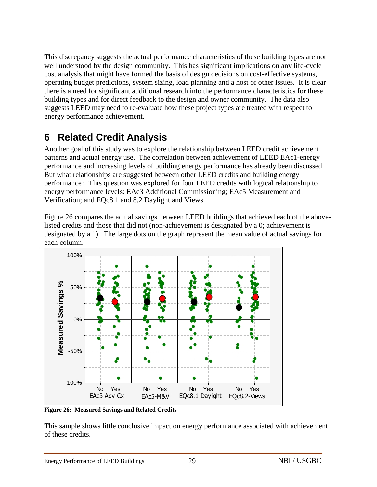This discrepancy suggests the actual performance characteristics of these building types are not well understood by the design community. This has significant implications on any life-cycle cost analysis that might have formed the basis of design decisions on cost-effective systems, operating budget predictions, system sizing, load planning and a host of other issues. It is clear there is a need for significant additional research into the performance characteristics for these building types and for direct feedback to the design and owner community. The data also suggests LEED may need to re-evaluate how these project types are treated with respect to energy performance achievement.

## <span id="page-32-0"></span>**6 Related Credit Analysis**

Another goal of this study was to explore the relationship between LEED credit achievement patterns and actual energy use. The correlation between achievement of LEED EAc1-energy performance and increasing levels of building energy performance has already been discussed. But what relationships are suggested between other LEED credits and building energy performance? This question was explored for four LEED credits with logical relationship to energy performance levels: EAc3 Additional Commissioning; EAc5 Measurement and Verification; and EQc8.1 and 8.2 Daylight and Views.

[Figure 26](#page-32-1) compares the actual savings between LEED buildings that achieved each of the abovelisted credits and those that did not (non-achievement is designated by a 0; achievement is designated by a 1). The large dots on the graph represent the mean value of actual savings for each column.



<span id="page-32-1"></span>**Figure 26: Measured Savings and Related Credits**

This sample shows little conclusive impact on energy performance associated with achievement of these credits.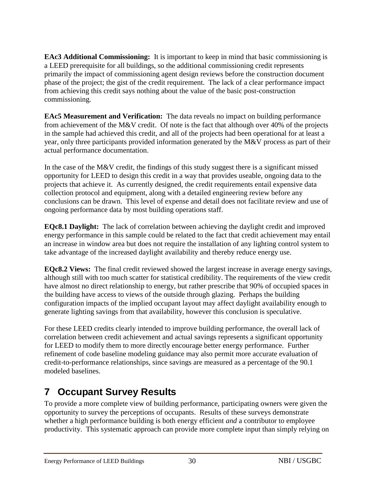**EAc3 Additional Commissioning:** It is important to keep in mind that basic commissioning is a LEED prerequisite for all buildings, so the additional commissioning credit represents primarily the impact of commissioning agent design reviews before the construction document phase of the project; the gist of the credit requirement. The lack of a clear performance impact from achieving this credit says nothing about the value of the basic post-construction commissioning.

**EAc5 Measurement and Verification:** The data reveals no impact on building performance from achievement of the M&V credit. Of note is the fact that although over 40% of the projects in the sample had achieved this credit, and all of the projects had been operational for at least a year, only three participants provided information generated by the M&V process as part of their actual performance documentation.

In the case of the M&V credit, the findings of this study suggest there is a significant missed opportunity for LEED to design this credit in a way that provides useable, ongoing data to the projects that achieve it. As currently designed, the credit requirements entail expensive data collection protocol and equipment, along with a detailed engineering review before any conclusions can be drawn. This level of expense and detail does not facilitate review and use of ongoing performance data by most building operations staff.

**EQc8.1 Daylight:** The lack of correlation between achieving the daylight credit and improved energy performance in this sample could be related to the fact that credit achievement may entail an increase in window area but does not require the installation of any lighting control system to take advantage of the increased daylight availability and thereby reduce energy use.

**EQc8.2 Views:** The final credit reviewed showed the largest increase in average energy savings, although still with too much scatter for statistical credibility. The requirements of the view credit have almost no direct relationship to energy, but rather prescribe that 90% of occupied spaces in the building have access to views of the outside through glazing. Perhaps the building configuration impacts of the implied occupant layout may affect daylight availability enough to generate lighting savings from that availability, however this conclusion is speculative.

For these LEED credits clearly intended to improve building performance, the overall lack of correlation between credit achievement and actual savings represents a significant opportunity for LEED to modify them to more directly encourage better energy performance. Further refinement of code baseline modeling guidance may also permit more accurate evaluation of credit-to-performance relationships, since savings are measured as a percentage of the 90.1 modeled baselines.

# <span id="page-33-0"></span>**7 Occupant Survey Results**

To provide a more complete view of building performance, participating owners were given the opportunity to survey the perceptions of occupants. Results of these surveys demonstrate whether a high performance building is both energy efficient *and* a contributor to employee productivity. This systematic approach can provide more complete input than simply relying on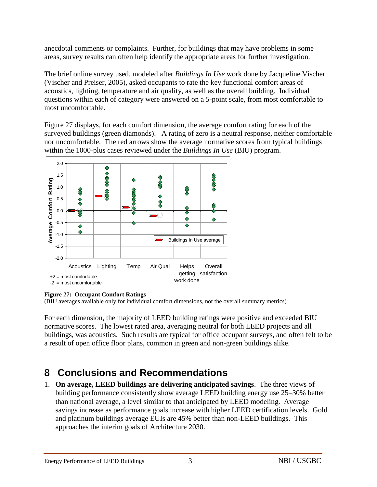anecdotal comments or complaints. Further, for buildings that may have problems in some areas, survey results can often help identify the appropriate areas for further investigation.

The brief online survey used, modeled after *Buildings In Use* work done by Jacqueline Vischer (Vischer and Preiser, 2005), asked occupants to rate the key functional comfort areas of acoustics, lighting, temperature and air quality, as well as the overall building. Individual questions within each of category were answered on a 5-point scale, from most comfortable to most uncomfortable.

[Figure 27](#page-34-1) displays, for each comfort dimension, the average comfort rating for each of the surveyed buildings (green diamonds). A rating of zero is a neutral response, neither comfortable nor uncomfortable. The red arrows show the average normative scores from typical buildings within the 1000-plus cases reviewed under the *Buildings In Use* (BIU) program.



<span id="page-34-1"></span>**Figure 27: Occupant Comfort Ratings**

(BIU averages available only for individual comfort dimensions, not the overall summary metrics)

For each dimension, the majority of LEED building ratings were positive and exceeded BIU normative scores. The lowest rated area, averaging neutral for both LEED projects and all buildings, was acoustics. Such results are typical for office occupant surveys, and often felt to be a result of open office floor plans, common in green and non-green buildings alike.

# <span id="page-34-0"></span>**8 Conclusions and Recommendations**

1. **On average, LEED buildings are delivering anticipated savings**. The three views of building performance consistently show average LEED building energy use 25–30% better than national average, a level similar to that anticipated by LEED modeling. Average savings increase as performance goals increase with higher LEED certification levels. Gold and platinum buildings average EUIs are 45% better than non-LEED buildings. This approaches the interim goals of Architecture 2030.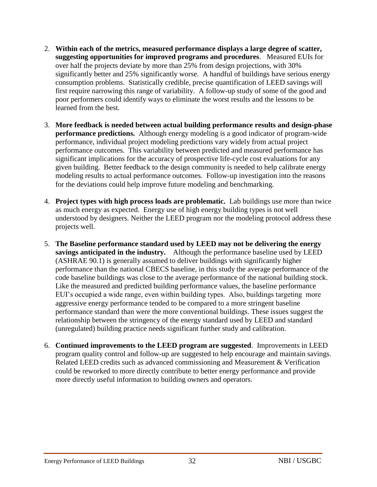- 2. **Within each of the metrics, measured performance displays a large degree of scatter, suggesting opportunities for improved programs and procedures**. Measured EUIs for over half the projects deviate by more than 25% from design projections, with 30% significantly better and 25% significantly worse. A handful of buildings have serious energy consumption problems. Statistically credible, precise quantification of LEED savings will first require narrowing this range of variability. A follow-up study of some of the good and poor performers could identify ways to eliminate the worst results and the lessons to be learned from the best.
- 3. **More feedback is needed between actual building performance results and design-phase performance predictions.** Although energy modeling is a good indicator of program-wide performance, individual project modeling predictions vary widely from actual project performance outcomes. This variability between predicted and measured performance has significant implications for the accuracy of prospective life-cycle cost evaluations for any given building. Better feedback to the design community is needed to help calibrate energy modeling results to actual performance outcomes. Follow-up investigation into the reasons for the deviations could help improve future modeling and benchmarking.
- 4. **Project types with high process loads are problematic.** Lab buildings use more than twice as much energy as expected. Energy use of high energy building types is not well understood by designers. Neither the LEED program nor the modeling protocol address these projects well.
- 5. **The Baseline performance standard used by LEED may not be delivering the energy savings anticipated in the industry.** Although the performance baseline used by LEED (ASHRAE 90.1) is generally assumed to deliver buildings with significantly higher performance than the national CBECS baseline, in this study the average performance of the code baseline buildings was close to the average performance of the national building stock. Like the measured and predicted building performance values, the baseline performance EUI's occupied a wide range, even within building types. Also, buildings targeting more aggressive energy performance tended to be compared to a more stringent baseline performance standard than were the more conventional buildings. These issues suggest the relationship between the stringency of the energy standard used by LEED and standard (unregulated) building practice needs significant further study and calibration.
- 6. **Continued improvements to the LEED program are suggested**. Improvements in LEED program quality control and follow-up are suggested to help encourage and maintain savings. Related LEED credits such as advanced commissioning and Measurement & Verification could be reworked to more directly contribute to better energy performance and provide more directly useful information to building owners and operators.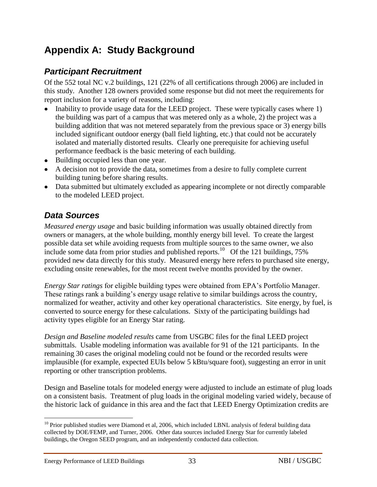## <span id="page-36-0"></span>**Appendix A: Study Background**

### <span id="page-36-1"></span>*Participant Recruitment*

Of the 552 total NC v.2 buildings, 121 (22% of all certifications through 2006) are included in this study. Another 128 owners provided some response but did not meet the requirements for report inclusion for a variety of reasons, including:

- Inability to provide usage data for the LEED project. These were typically cases where 1) the building was part of a campus that was metered only as a whole, 2) the project was a building addition that was not metered separately from the previous space or 3) energy bills included significant outdoor energy (ball field lighting, etc.) that could not be accurately isolated and materially distorted results. Clearly one prerequisite for achieving useful performance feedback is the basic metering of each building.
- Building occupied less than one year.
- A decision not to provide the data, sometimes from a desire to fully complete current building tuning before sharing results.
- Data submitted but ultimately excluded as appearing incomplete or not directly comparable to the modeled LEED project.

### <span id="page-36-2"></span>*Data Sources*

*Measured energy usage* and basic building information was usually obtained directly from owners or managers, at the whole building, monthly energy bill level. To create the largest possible data set while avoiding requests from multiple sources to the same owner, we also include some data from prior studies and published reports.<sup>10</sup> Of the 121 buildings, 75% provided new data directly for this study. Measured energy here refers to purchased site energy, excluding onsite renewables, for the most recent twelve months provided by the owner.

*Energy Star ratings* for eligible building types were obtained from EPA's Portfolio Manager. These ratings rank a building's energy usage relative to similar buildings across the country, normalized for weather, activity and other key operational characteristics. Site energy, by fuel, is converted to source energy for these calculations. Sixty of the participating buildings had activity types eligible for an Energy Star rating.

*Design and Baseline modeled results* came from USGBC files for the final LEED project submittals. Usable modeling information was available for 91 of the 121 participants. In the remaining 30 cases the original modeling could not be found or the recorded results were implausible (for example, expected EUIs below 5 kBtu/square foot), suggesting an error in unit reporting or other transcription problems.

Design and Baseline totals for modeled energy were adjusted to include an estimate of plug loads on a consistent basis. Treatment of plug loads in the original modeling varied widely, because of the historic lack of guidance in this area and the fact that LEED Energy Optimization credits are

 $\overline{a}$  $10$  Prior published studies were Diamond et al, 2006, which included LBNL analysis of federal building data collected by DOE/FEMP, and Turner, 2006. Other data sources included Energy Star for currently labeled buildings, the Oregon SEED program, and an independently conducted data collection.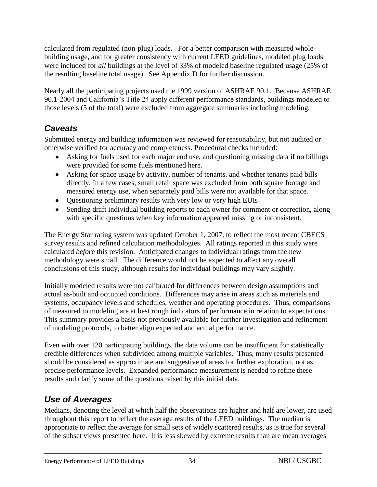calculated from regulated (non-plug) loads. For a better comparison with measured wholebuilding usage, and for greater consistency with current LEED guidelines, modeled plug loads were included for *all* buildings at the level of 33% of modeled baseline regulated usage (25% of the resulting baseline total usage). See Appendix D for further discussion.

Nearly all the participating projects used the 1999 version of ASHRAE 90.1. Because ASHRAE 90.1-2004 and California's Title 24 apply different performance standards, buildings modeled to those levels (5 of the total) were excluded from aggregate summaries including modeling.

## <span id="page-37-0"></span>*Caveats*

Submitted energy and building information was reviewed for reasonability, but not audited or otherwise verified for accuracy and completeness. Procedural checks included:

- Asking for fuels used for each major end use, and questioning missing data if no billings were provided for some fuels mentioned here.
- Asking for space usage by activity, number of tenants, and whether tenants paid bills directly. In a few cases, small retail space was excluded from both square footage and measured energy use, when separately paid bills were not available for that space.
- Ouestioning preliminary results with very low or very high EUIs
- Sending draft individual building reports to each owner for comment or correction, along with specific questions when key information appeared missing or inconsistent.

The Energy Star rating system was updated October 1, 2007, to reflect the most recent CBECS survey results and refined calculation methodologies. All ratings reported in this study were calculated *before* this revision. Anticipated changes to individual ratings from the new methodology were small. The difference would not be expected to affect any overall conclusions of this study, although results for individual buildings may vary slightly.

Initially modeled results were not calibrated for differences between design assumptions and actual as-built and occupied conditions. Differences may arise in areas such as materials and systems, occupancy levels and schedules, weather and operating procedures. Thus, comparisons of measured to modeling are at best rough indicators of performance in relation to expectations. This summary provides a basis not previously available for further investigation and refinement of modeling protocols, to better align expected and actual performance.

Even with over 120 participating buildings, the data volume can be insufficient for statistically credible differences when subdivided among multiple variables. Thus, many results presented should be considered as approximate and suggestive of areas for further exploration, not as precise performance levels. Expanded performance measurement is needed to refine these results and clarify some of the questions raised by this initial data.

## <span id="page-37-1"></span>*Use of Averages*

Medians, denoting the level at which half the observations are higher and half are lower, are used throughout this report to reflect the average results of the LEED buildings. The median is appropriate to reflect the average for small sets of widely scattered results, as is true for several of the subset views presented here. It is less skewed by extreme results than are mean averages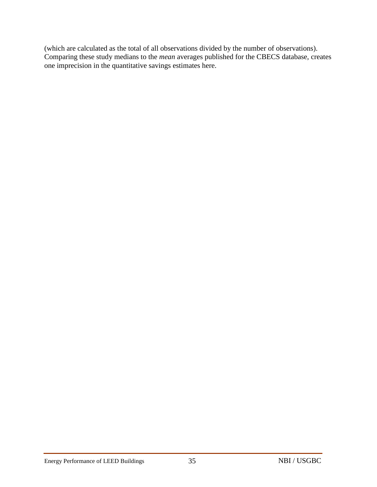(which are calculated as the total of all observations divided by the number of observations). Comparing these study medians to the *mean* averages published for the CBECS database, creates one imprecision in the quantitative savings estimates here.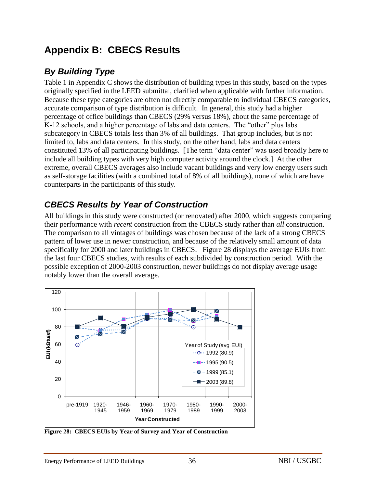## <span id="page-39-0"></span>**Appendix B: CBECS Results**

## <span id="page-39-1"></span>*By Building Type*

[Table](#page-41-1) 1 in Appendix C shows the distribution of building types in this study, based on the types originally specified in the LEED submittal, clarified when applicable with further information. Because these type categories are often not directly comparable to individual CBECS categories, accurate comparison of type distribution is difficult. In general, this study had a higher percentage of office buildings than CBECS (29% versus 18%), about the same percentage of K-12 schools, and a higher percentage of labs and data centers. The "other" plus labs subcategory in CBECS totals less than 3% of all buildings. That group includes, but is not limited to, labs and data centers. In this study, on the other hand, labs and data centers constituted 13% of all participating buildings. [The term "data center" was used broadly here to include all building types with very high computer activity around the clock.] At the other extreme, overall CBECS averages also include vacant buildings and very low energy users such as self-storage facilities (with a combined total of 8% of all buildings), none of which are have counterparts in the participants of this study.

### <span id="page-39-2"></span>*CBECS Results by Year of Construction*

All buildings in this study were constructed (or renovated) after 2000, which suggests comparing their performance with *recent* construction from the CBECS study rather than *all* construction. The comparison to all vintages of buildings was chosen because of the lack of a strong CBECS pattern of lower use in newer construction, and because of the relatively small amount of data specifically for 2000 and later buildings in CBECS. [Figure 28](#page-39-3) displays the average EUIs from the last four CBECS studies, with results of each subdivided by construction period. With the possible exception of 2000-2003 construction, newer buildings do not display average usage notably lower than the overall average.



<span id="page-39-3"></span>**Figure 28: CBECS EUIs by Year of Survey and Year of Construction**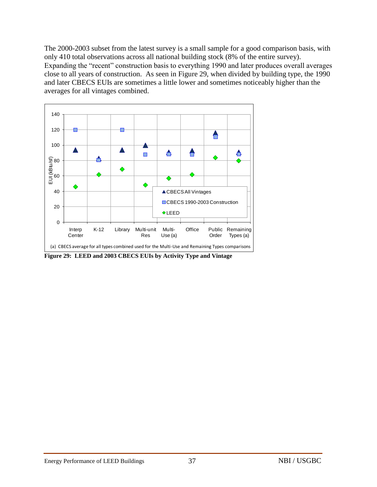The 2000-2003 subset from the latest survey is a small sample for a good comparison basis, with only 410 total observations across all national building stock (8% of the entire survey). Expanding the "recent" construction basis to everything 1990 and later produces overall averages close to all years of construction. As seen in [Figure 29,](#page-40-0) when divided by building type, the 1990 and later CBECS EUIs are sometimes a little lower and sometimes noticeably higher than the averages for all vintages combined.



<span id="page-40-0"></span>**Figure 29: LEED and 2003 CBECS EUIs by Activity Type and Vintage**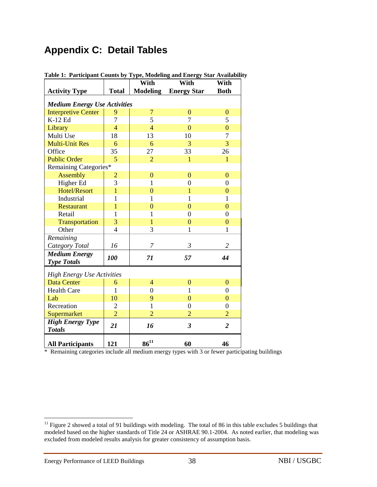## <span id="page-41-0"></span>**Appendix C: Detail Tables**

| таже т: тагисірані Counts by туре, моденне ана елегеу маг Ауанамін |                | With           | With                 | With             |  |  |  |  |
|--------------------------------------------------------------------|----------------|----------------|----------------------|------------------|--|--|--|--|
| <b>Activity Type</b>                                               | <b>Total</b>   | Modeling       | <b>Energy Star</b>   | <b>Both</b>      |  |  |  |  |
| <b>Medium Energy Use Activities</b>                                |                |                |                      |                  |  |  |  |  |
| <b>Interpretive Center</b>                                         | 9              | $\overline{7}$ | $\boldsymbol{0}$     | $\boldsymbol{0}$ |  |  |  |  |
| $K-12$ Ed                                                          | 7              | 5              | 7                    | 5                |  |  |  |  |
| Library                                                            | $\overline{4}$ | $\overline{4}$ | $\overline{0}$       | $\overline{0}$   |  |  |  |  |
| Multi Use                                                          | 18             | 13             | 10                   | 7                |  |  |  |  |
| <b>Multi-Unit Res</b>                                              | 6              | 6              | 3                    | 3                |  |  |  |  |
| Office                                                             | 35             | 27             | 33                   | 26               |  |  |  |  |
| <b>Public Order</b>                                                | 5              | $\overline{2}$ | 1                    | 1                |  |  |  |  |
| Remaining Categories*                                              |                |                |                      |                  |  |  |  |  |
| <b>Assembly</b>                                                    | 2              | $\overline{0}$ | $\overline{0}$       | $\overline{0}$   |  |  |  |  |
| Higher Ed                                                          | 3              | 1              | $\overline{0}$       | $\overline{0}$   |  |  |  |  |
| <b>Hotel/Resort</b>                                                | $\overline{1}$ | $\overline{0}$ | $\mathbf{1}$         | $\overline{0}$   |  |  |  |  |
| Industrial                                                         | $\mathbf{1}$   | $\mathbf{1}$   | 1                    | 1                |  |  |  |  |
| <b>Restaurant</b>                                                  | $\overline{1}$ | $\overline{0}$ | $\overline{0}$       | $\overline{0}$   |  |  |  |  |
| Retail                                                             | 1              | 1              | $\overline{0}$       | $\overline{0}$   |  |  |  |  |
| Transportation                                                     | 3              | $\overline{1}$ | $\overline{0}$       | $\overline{0}$   |  |  |  |  |
| Other                                                              | $\overline{4}$ | 3              | 1                    | 1                |  |  |  |  |
| Remaining                                                          |                |                |                      |                  |  |  |  |  |
| Category Total                                                     | 16             | 7              | 3                    | 2                |  |  |  |  |
| <b>Medium Energy</b><br><b>Type Totals</b>                         | 100            | 71             | 57                   | 44               |  |  |  |  |
| <b>High Energy Use Activities</b>                                  |                |                |                      |                  |  |  |  |  |
| <b>Data Center</b>                                                 | 6              | $\overline{4}$ | $\overline{0}$       | $\overline{0}$   |  |  |  |  |
| <b>Health Care</b>                                                 | $\mathbf{1}$   | $\overline{0}$ | 1                    | $\overline{0}$   |  |  |  |  |
| Lab                                                                | 10             | 9              | $\overline{0}$       | $\overline{0}$   |  |  |  |  |
| Recreation                                                         | $\overline{2}$ | $\mathbf{1}$   | $\overline{0}$       | $\overline{0}$   |  |  |  |  |
| Supermarket                                                        | $\overline{2}$ | $\overline{2}$ | $\overline{2}$       | $\overline{2}$   |  |  |  |  |
| <b>High Energy Type</b><br><b>Totals</b>                           | 21             | 16             | $\boldsymbol{\beta}$ | $\overline{2}$   |  |  |  |  |
| <b>All Participants</b>                                            | 121            | $86^{11}$      | 60                   | 46               |  |  |  |  |

<span id="page-41-1"></span>**Table 1: Participant Counts by Type, Modeling and Energy Star Availability** 

\* Remaining categories include all medium energy types with 3 or fewer participating buildings

 $\overline{a}$ 

 $11$  [Figure 2](#page-11-0) showed a total of 91 buildings with modeling. The total of 86 in this table excludes 5 buildings that modeled based on the higher standards of Title 24 or ASHRAE 90.1-2004. As noted earlier, that modeling was excluded from modeled results analysis for greater consistency of assumption basis.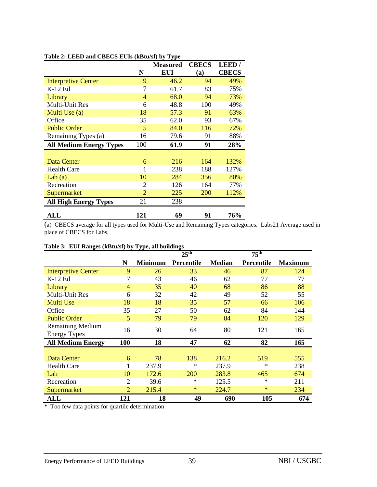|                                |                | <b>Measured</b> | <b>CBECS</b> | LEED/        |
|--------------------------------|----------------|-----------------|--------------|--------------|
|                                | N              | <b>EUI</b>      | (a)          | <b>CBECS</b> |
| <b>Interpretive Center</b>     | 9              | 46.2            | 94           | 49%          |
| K-12 Ed                        | 7              | 61.7            | 83           | 75%          |
| Library                        | $\overline{4}$ | 68.0            | 94           | 73%          |
| Multi-Unit Res                 | 6              | 48.8            | 100          | 49%          |
| Multi Use (a)                  | 18             | 57.3            | 91           | 63%          |
| Office                         | 35             | 62.0            | 93           | 67%          |
| <b>Public Order</b>            | 5              | 84.0            | 116          | 72%          |
| Remaining Types (a)            | 16             | 79.6            | 91           | 88%          |
| <b>All Medium Energy Types</b> | 100            | 61.9            | 91           | 28%          |
|                                |                |                 |              |              |
| Data Center                    | 6              | 216             | 164          | 132%         |
| <b>Health Care</b>             | 1              | 238             | 188          | 127%         |
| Lab $(a)$                      | 10             | 284             | 356          | 80%          |
| Recreation                     | 2              | 126             | 164          | 77%          |
| Supermarket                    | $\overline{2}$ | 225             | 200          | 112%         |
| <b>All High Energy Types</b>   | 21             | 238             |              |              |
| <b>ALL</b>                     | 121            | 69              | 91           | 76%          |

#### <span id="page-42-0"></span>**Table 2: LEED and CBECS EUIs (kBtu/sf) by Type**

(a) CBECS average for all types used for Multi-Use and Remaining Types categories. Labs21 Average used in place of CBECS for Labs.

#### <span id="page-42-1"></span>**Table 3: EUI Ranges (kBtu/sf) by Type, all buildings**

|                            |                |                | $25^{\text{th}}$  |               | $75^{\text{th}}$  |                |
|----------------------------|----------------|----------------|-------------------|---------------|-------------------|----------------|
|                            | N              | <b>Minimum</b> | <b>Percentile</b> | <b>Median</b> | <b>Percentile</b> | <b>Maximum</b> |
| <b>Interpretive Center</b> | 9              | 26             | 33                | 46            | 87                | 124            |
| $K-12$ Ed                  | 7              | 43             | 46                | 62            | 77                | 77             |
| Library                    | 4              | 35             | 40                | 68            | 86                | 88             |
| Multi-Unit Res             | 6              | 32             | 42                | 49            | 52                | 55             |
| Multi Use                  | 18             | 18             | 35                | 57            | 66                | 106            |
| Office                     | 35             | 27             | 50                | 62            | 84                | 144            |
| <b>Public Order</b>        | 5              | 79             | 79                | 84            | 120               | 129            |
| <b>Remaining Medium</b>    | 16             | 30             | 64                | 80            | 121               | 165            |
| <b>Energy Types</b>        |                |                |                   |               |                   |                |
| <b>All Medium Energy</b>   | <b>100</b>     | 18             | 47                | 62            | 82                | 165            |
| Data Center                | 6              | 78             | 138               | 216.2         | 519               | 555            |
| <b>Health Care</b>         | 1              | 237.9          | ∗                 | 237.9         | $\ast$            | 238            |
| Lab                        | 10             | 172.6          | <b>200</b>        | 283.8         | 465               | 674            |
| Recreation                 | 2              | 39.6           | ∗                 | 125.5         | $\ast$            | 211            |
| Supermarket                | $\overline{2}$ | 215.4          | $\ast$            | 224.7         | $\ast$            | 234            |
| ALL                        | 121            | 18             | 49                | 690           | 105               | 674            |

\* Too few data points for quartile determination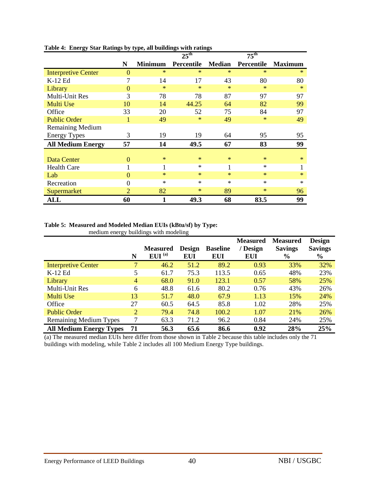|                            |                |                | $25^{\text{th}}$<br>$75^{\text{th}}$ |               |            |                |
|----------------------------|----------------|----------------|--------------------------------------|---------------|------------|----------------|
|                            | N              | <b>Minimum</b> | <b>Percentile</b>                    | <b>Median</b> | Percentile | <b>Maximum</b> |
| <b>Interpretive Center</b> | $\Omega$       | $\ast$         | $\ast$                               | $\ast$        | $\ast$     | $\ast$         |
| $K-12$ Ed                  | 7              | 14             | 17                                   | 43            | 80         | 80             |
| Library                    | $\overline{0}$ | $\ast$         | $\ast$                               | $\ast$        | $\ast$     | $\ast$         |
| <b>Multi-Unit Res</b>      | 3              | 78             | 78                                   | 87            | 97         | 97             |
| <b>Multi Use</b>           | 10             | 14             | 44.25                                | 64            | 82         | 99             |
| Office                     | 33             | 20             | 52                                   | 75            | 84         | 97             |
| <b>Public Order</b>        | 1              | 49             | $\ast$                               | 49            | $\ast$     | 49             |
| Remaining Medium           |                |                |                                      |               |            |                |
| <b>Energy Types</b>        | 3              | 19             | 19                                   | 64            | 95         | 95             |
| <b>All Medium Energy</b>   | 57             | 14             | 49.5                                 | 67            | 83         | 99             |
|                            |                |                |                                      |               |            |                |
| Data Center                | $\overline{0}$ | $\ast$         | $\ast$                               | $*$           | $\ast$     | $\ast$         |
| <b>Health Care</b>         | 1              | 1              | $\ast$                               | 1             | $\ast$     |                |
| Lab                        | $\theta$       | $\ast$         | $\ast$                               | $\ast$        | $\ast$     | $*$            |
| Recreation                 | 0              | $\ast$         | $\ast$                               | $*$           | $\ast$     | $\ast$         |
| Supermarket                | $\overline{2}$ | 82             | $\ast$                               | 89            | $\ast$     | 96             |
| ALL                        | 60             | 1              | 49.3                                 | 68            | 83.5       | 99             |

#### <span id="page-43-0"></span>**Table 4: Energy Star Ratings by type, all buildings with ratings**

#### <span id="page-43-1"></span>**Table 5: Measured and Modeled Median EUIs (kBtu/sf) by Type:**

medium energy buildings with modeling

|                                |                |                 |        |                 | <b>Measured</b> | <b>Measured</b> | <b>Design</b>  |
|--------------------------------|----------------|-----------------|--------|-----------------|-----------------|-----------------|----------------|
|                                |                | <b>Measured</b> | Design | <b>Baseline</b> | / Design        | <b>Savings</b>  | <b>Savings</b> |
|                                | N              | $EUI^{(a)}$     | EUI    | EUI             | EUI             | $\frac{0}{0}$   | $\frac{0}{0}$  |
| <b>Interpretive Center</b>     | 7              | 46.2            | 51.2   | 89.2            | 0.93            | 33%             | 32%            |
| $K-12$ Ed                      | 5              | 61.7            | 75.3   | 113.5           | 0.65            | 48%             | 23%            |
| Library                        | $\overline{4}$ | 68.0            | 91.0   | 123.1           | 0.57            | 58%             | 25%            |
| Multi-Unit Res                 | 6              | 48.8            | 61.6   | 80.2            | 0.76            | 43%             | 26%            |
| Multi Use                      | 13             | 51.7            | 48.0   | 67.9            | 1.13            | 15%             | 24%            |
| Office                         | 27             | 60.5            | 64.5   | 85.8            | 1.02            | 28%             | 25%            |
| <b>Public Order</b>            | 2              | 79.4            | 74.8   | 100.2           | 1.07            | 21%             | 26%            |
| <b>Remaining Medium Types</b>  | 7              | 63.3            | 71.2   | 96.2            | 0.84            | 24%             | 25%            |
| <b>All Medium Energy Types</b> | 71             | 56.3            | 65.6   | 86.6            | 0.92            | 28%             | 25%            |

(a) The measured median EUIs here differ from those shown in [Table 2](#page-42-0) because this table includes only the 71 buildings with modeling, while [Table 2](#page-42-0) includes all 100 Medium Energy Type buildings.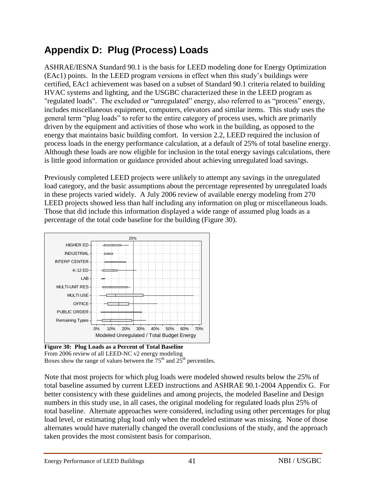# <span id="page-44-0"></span>**Appendix D: Plug (Process) Loads**

ASHRAE/IESNA Standard 90.1 is the basis for LEED modeling done for Energy Optimization (EAc1) points. In the LEED program versions in effect when this study's buildings were certified, EAc1 achievement was based on a subset of Standard 90.1 criteria related to building HVAC systems and lighting, and the USGBC characterized these in the LEED program as "regulated loads". The excluded or "unregulated" energy, also referred to as "process" energy, includes miscellaneous equipment, computers, elevators and similar items. This study uses the general term "plug loads" to refer to the entire category of process uses, which are primarily driven by the equipment and activities of those who work in the building, as opposed to the energy that maintains basic building comfort. In version 2.2, LEED required the inclusion of process loads in the energy performance calculation, at a default of 25% of total baseline energy. Although these loads are now eligible for inclusion in the total energy savings calculations, there is little good information or guidance provided about achieving unregulated load savings.

Previously completed LEED projects were unlikely to attempt any savings in the unregulated load category, and the basic assumptions about the percentage represented by unregulated loads in these projects varied widely. A July 2006 review of available energy modeling from 270 LEED projects showed less than half including any information on plug or miscellaneous loads. Those that did include this information displayed a wide range of assumed plug loads as a percentage of the total code baseline for the building [\(Figure 30\)](#page-44-1).



<span id="page-44-1"></span>**Figure 30: Plug Loads as a Percent of Total Baseline** From 2006 review of all LEED-NC v2 energy modeling Boxes show the range of values between the  $75<sup>th</sup>$  and  $25<sup>th</sup>$  percentiles.

Note that most projects for which plug loads were modeled showed results below the 25% of total baseline assumed by current LEED instructions and ASHRAE 90.1-2004 Appendix G. For better consistency with these guidelines and among projects, the modeled Baseline and Design numbers in this study use, in all cases, the original modeling for regulated loads plus 25% of total baseline. Alternate approaches were considered, including using other percentages for plug load level, or estimating plug load only when the modeled estimate was missing. None of those alternates would have materially changed the overall conclusions of the study, and the approach taken provides the most consistent basis for comparison.